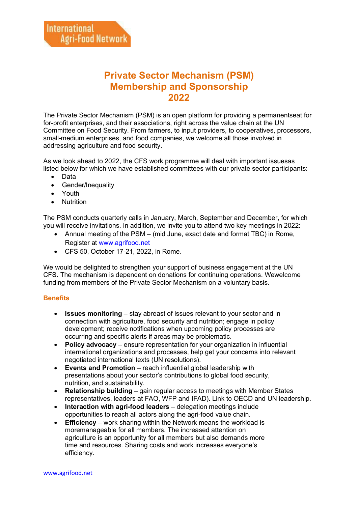## **Private Sector Mechanism (PSM) Membership and Sponsorship 2022**

The Private Sector Mechanism (PSM) is an open platform for providing a permanentseat for for-profit enterprises, and their associations, right across the value chain at the UN Committee on Food Security. From farmers, to input providers, to cooperatives, processors, small-medium enterprises, and food companies, we welcome all those involved in addressing agriculture and food security.

As we look ahead to 2022, the CFS work programme will deal with important issuesas listed below for which we have established committees with our private sector participants:

- Data
- Gender/Inequality
- Youth
- Nutrition

The PSM conducts quarterly calls in January, March, September and December, for which you will receive invitations. In addition, we invite you to attend two key meetings in 2022:

- Annual meeting of the PSM (mid June, exact date and format TBC) in Rome, Register at [www.agrifood.net](http://www.agrifood.net/)
- CFS 50, October 17-21, 2022, in Rome.

We would be delighted to strengthen your support of business engagement at the UN CFS. The mechanism is dependent on donations for continuing operations. Wewelcome funding from members of the Private Sector Mechanism on a voluntary basis.

### **Benefits**

- **Issues monitoring**  stay abreast of issues relevant to your sector and in connection with agriculture, food security and nutrition; engage in policy development; receive notifications when upcoming policy processes are occurring and specific alerts if areas may be problematic.
- **Policy advocacy**  ensure representation for your organization in influential international organizations and processes, help get your concerns into relevant negotiated international texts (UN resolutions).
- **Events and Promotion**  reach influential global leadership with presentations about your sector's contributions to global food security, nutrition, and sustainability.
- **Relationship building**  gain regular access to meetings with Member States representatives, leaders at FAO, WFP and IFAD). Link to OECD and UN leadership.
- **Interaction with agri-food leaders**  delegation meetings include opportunities to reach all actors along the agri-food value chain.
- **Efficiency**  work sharing within the Network means the workload is moremanageable for all members. The increased attention on agriculture is an opportunity for all members but also demands more time and resources. Sharing costs and work increases everyone's efficiency.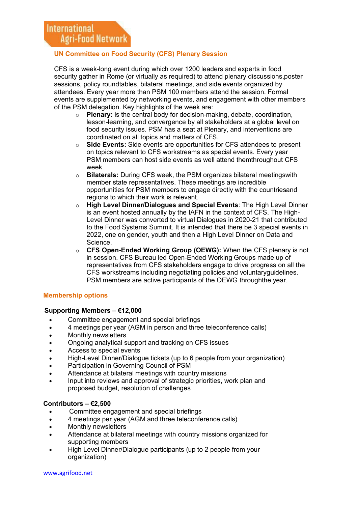## **UN Committee on Food Security (CFS) Plenary Session**

CFS is a week-long event during which over 1200 leaders and experts in food security gather in Rome (or virtually as required) to attend plenary discussions, poster sessions, policy roundtables, bilateral meetings, and side events organized by attendees. Every year more than PSM 100 members attend the session. Formal events are supplemented by networking events, and engagement with other members of the PSM delegation. Key highlights of the week are:

- o **Plenary:** is the central body for decision-making, debate, coordination, lesson-learning, and convergence by all stakeholders at a global level on food security issues. PSM has a seat at Plenary, and interventions are coordinated on all topics and matters of CFS.
- o **Side Events:** Side events are opportunities for CFS attendees to present on topics relevant to CFS workstreams as special events. Every year PSM members can host side events as well attend themthroughout CFS week.
- o **Bilaterals:** During CFS week, the PSM organizes bilateral meetingswith member state representatives. These meetings are incredible opportunities for PSM members to engage directly with the countriesand regions to which their work is relevant.
- o **High Level Dinner/Dialogues and Special Events**: The High Level Dinner is an event hosted annually by the IAFN in the context of CFS. The High-Level Dinner was converted to virtual Dialogues in 2020-21 that contributed to the Food Systems Summit. It is intended that there be 3 special events in 2022, one on gender, youth and then a High Level Dinner on Data and Science.
- o **CFS Open-Ended Working Group (OEWG):** When the CFS plenary is not in session. CFS Bureau led Open-Ended Working Groups made up of representatives from CFS stakeholders engage to drive progress on all the CFS workstreams including negotiating policies and voluntaryguidelines. PSM members are active participants of the OEWG throughthe year.

### **Membership options**

### **Supporting Members – €12,000**

- Committee engagement and special briefings
- 4 meetings per year (AGM in person and three teleconference calls)
- Monthly newsletters
- Ongoing analytical support and tracking on CFS issues
- Access to special events
- High-Level Dinner/Dialogue tickets (up to 6 people from your organization)
- Participation in Governing Council of PSM
- Attendance at bilateral meetings with country missions
- Input into reviews and approval of strategic priorities, work plan and proposed budget, resolution of challenges

#### **Contributors – €2,500**

- Committee engagement and special briefings
- 4 meetings per year (AGM and three teleconference calls)
- Monthly newsletters
- Attendance at bilateral meetings with country missions organized for supporting members
- High Level Dinner/Dialogue participants (up to 2 people from your organization)